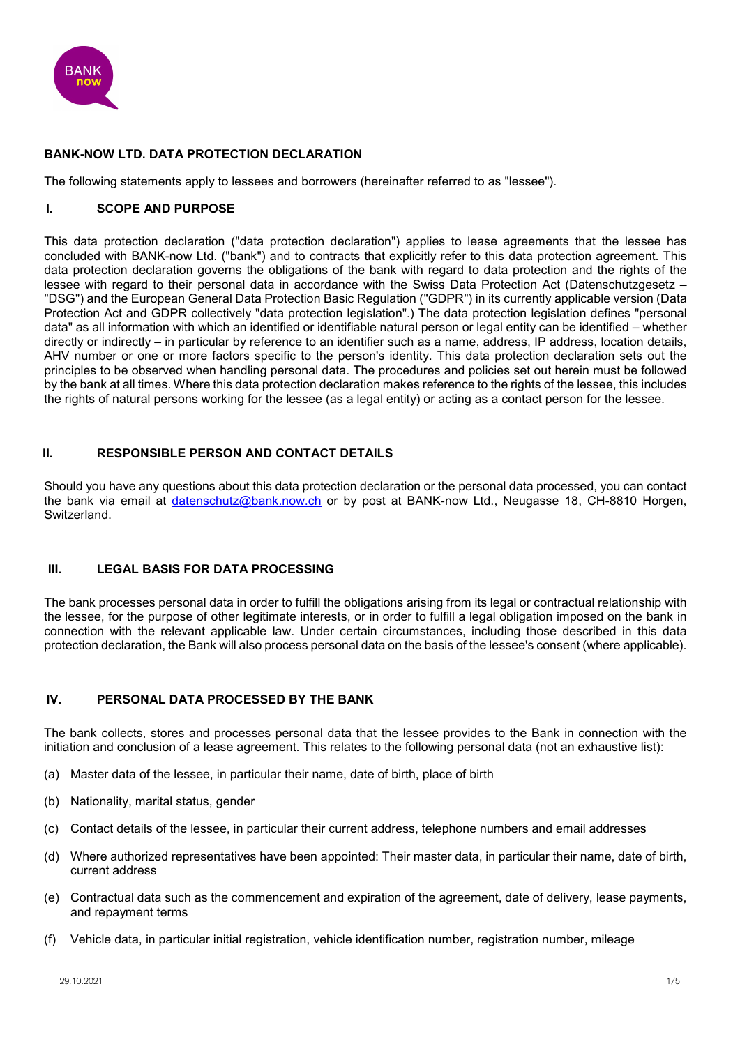

### **BANK-NOW LTD. DATA PROTECTION DECLARATION**

The following statements apply to lessees and borrowers (hereinafter referred to as "lessee").

### **I. SCOPE AND PURPOSE**

This data protection declaration ("data protection declaration") applies to lease agreements that the lessee has concluded with BANK-now Ltd. ("bank") and to contracts that explicitly refer to this data protection agreement. This data protection declaration governs the obligations of the bank with regard to data protection and the rights of the lessee with regard to their personal data in accordance with the Swiss Data Protection Act (Datenschutzgesetz – "DSG") and the European General Data Protection Basic Regulation ("GDPR") in its currently applicable version (Data Protection Act and GDPR collectively "data protection legislation".) The data protection legislation defines "personal data" as all information with which an identified or identifiable natural person or legal entity can be identified – whether directly or indirectly – in particular by reference to an identifier such as a name, address, IP address, location details, AHV number or one or more factors specific to the person's identity. This data protection declaration sets out the principles to be observed when handling personal data. The procedures and policies set out herein must be followed by the bank at all times. Where this data protection declaration makes reference to the rights of the lessee, this includes the rights of natural persons working for the lessee (as a legal entity) or acting as a contact person for the lessee.

## **II. RESPONSIBLE PERSON AND CONTACT DETAILS**

Should you have any questions about this data protection declaration or the personal data processed, you can contact the bank via email at [datenschutz@bank.now.ch](mailto:datenschutz@bank-now.ch) or by post at BANK-now Ltd., Neugasse 18, CH-8810 Horgen, Switzerland.

### **III. LEGAL BASIS FOR DATA PROCESSING**

The bank processes personal data in order to fulfill the obligations arising from its legal or contractual relationship with the lessee, for the purpose of other legitimate interests, or in order to fulfill a legal obligation imposed on the bank in connection with the relevant applicable law. Under certain circumstances, including those described in this data protection declaration, the Bank will also process personal data on the basis of the lessee's consent (where applicable).

## **IV. PERSONAL DATA PROCESSED BY THE BANK**

The bank collects, stores and processes personal data that the lessee provides to the Bank in connection with the initiation and conclusion of a lease agreement. This relates to the following personal data (not an exhaustive list):

- (a) Master data of the lessee, in particular their name, date of birth, place of birth
- (b) Nationality, marital status, gender
- (c) Contact details of the lessee, in particular their current address, telephone numbers and email addresses
- (d) Where authorized representatives have been appointed: Their master data, in particular their name, date of birth, current address
- (e) Contractual data such as the commencement and expiration of the agreement, date of delivery, lease payments, and repayment terms
- (f) Vehicle data, in particular initial registration, vehicle identification number, registration number, mileage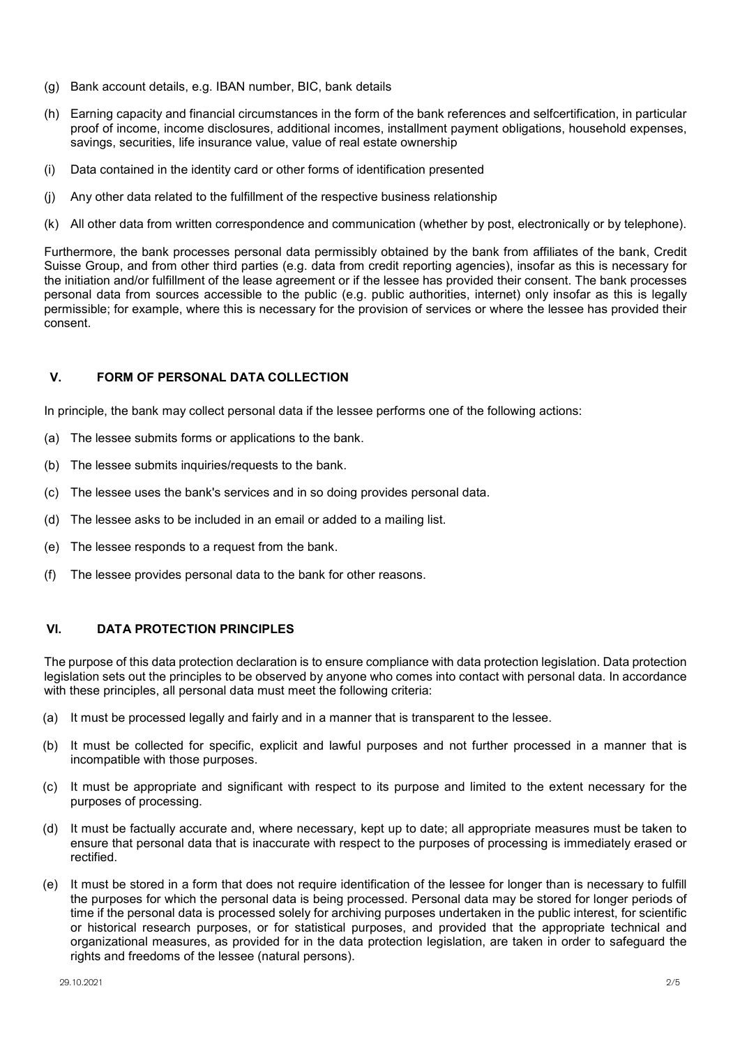- (g) Bank account details, e.g. IBAN number, BIC, bank details
- (h) Earning capacity and financial circumstances in the form of the bank references and selfcertification, in particular proof of income, income disclosures, additional incomes, installment payment obligations, household expenses, savings, securities, life insurance value, value of real estate ownership
- (i) Data contained in the identity card or other forms of identification presented
- (j) Any other data related to the fulfillment of the respective business relationship
- (k) All other data from written correspondence and communication (whether by post, electronically or by telephone).

Furthermore, the bank processes personal data permissibly obtained by the bank from affiliates of the bank, Credit Suisse Group, and from other third parties (e.g. data from credit reporting agencies), insofar as this is necessary for the initiation and/or fulfillment of the lease agreement or if the lessee has provided their consent. The bank processes personal data from sources accessible to the public (e.g. public authorities, internet) only insofar as this is legally permissible; for example, where this is necessary for the provision of services or where the lessee has provided their consent.

## **V. FORM OF PERSONAL DATA COLLECTION**

In principle, the bank may collect personal data if the lessee performs one of the following actions:

- (a) The lessee submits forms or applications to the bank.
- (b) The lessee submits inquiries/requests to the bank.
- (c) The lessee uses the bank's services and in so doing provides personal data.
- (d) The lessee asks to be included in an email or added to a mailing list.
- (e) The lessee responds to a request from the bank.
- (f) The lessee provides personal data to the bank for other reasons.

### **VI. DATA PROTECTION PRINCIPLES**

The purpose of this data protection declaration is to ensure compliance with data protection legislation. Data protection legislation sets out the principles to be observed by anyone who comes into contact with personal data. In accordance with these principles, all personal data must meet the following criteria:

- (a) It must be processed legally and fairly and in a manner that is transparent to the lessee.
- (b) It must be collected for specific, explicit and lawful purposes and not further processed in a manner that is incompatible with those purposes.
- (c) It must be appropriate and significant with respect to its purpose and limited to the extent necessary for the purposes of processing.
- (d) It must be factually accurate and, where necessary, kept up to date; all appropriate measures must be taken to ensure that personal data that is inaccurate with respect to the purposes of processing is immediately erased or rectified.
- (e) It must be stored in a form that does not require identification of the lessee for longer than is necessary to fulfill the purposes for which the personal data is being processed. Personal data may be stored for longer periods of time if the personal data is processed solely for archiving purposes undertaken in the public interest, for scientific or historical research purposes, or for statistical purposes, and provided that the appropriate technical and organizational measures, as provided for in the data protection legislation, are taken in order to safeguard the rights and freedoms of the lessee (natural persons).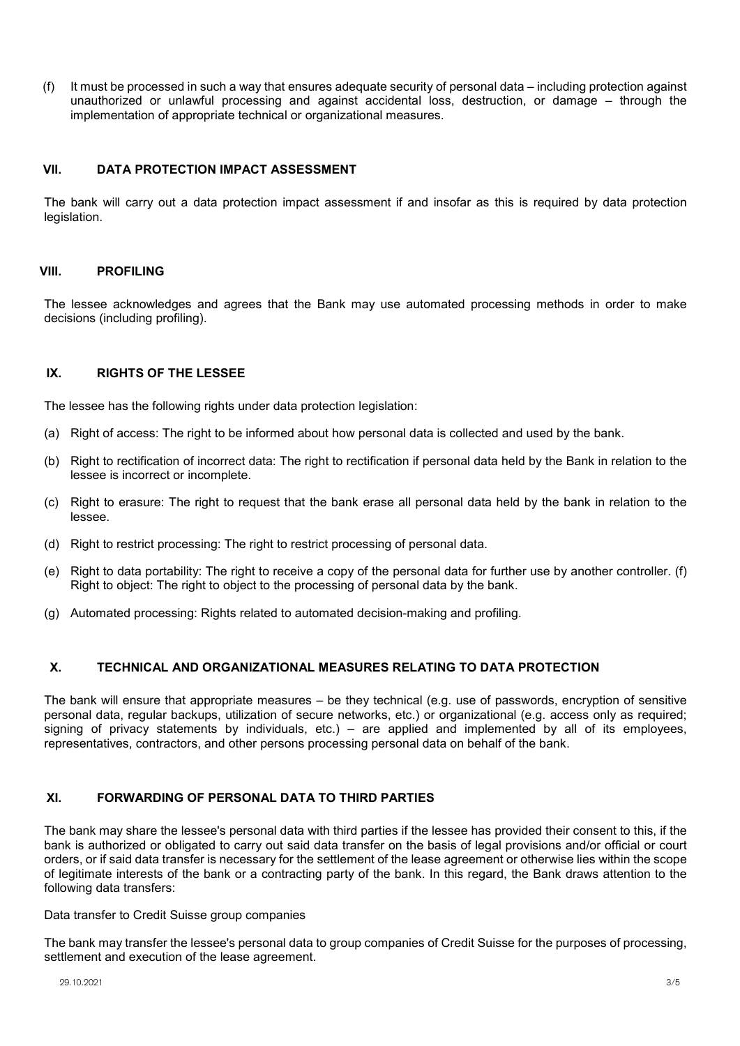(f) It must be processed in such a way that ensures adequate security of personal data – including protection against unauthorized or unlawful processing and against accidental loss, destruction, or damage – through the implementation of appropriate technical or organizational measures.

## **VII. DATA PROTECTION IMPACT ASSESSMENT**

The bank will carry out a data protection impact assessment if and insofar as this is required by data protection legislation.

### **VIII. PROFILING**

The lessee acknowledges and agrees that the Bank may use automated processing methods in order to make decisions (including profiling).

### **IX. RIGHTS OF THE LESSEE**

The lessee has the following rights under data protection legislation:

- (a) Right of access: The right to be informed about how personal data is collected and used by the bank.
- (b) Right to rectification of incorrect data: The right to rectification if personal data held by the Bank in relation to the lessee is incorrect or incomplete.
- (c) Right to erasure: The right to request that the bank erase all personal data held by the bank in relation to the lessee.
- (d) Right to restrict processing: The right to restrict processing of personal data.
- (e) Right to data portability: The right to receive a copy of the personal data for further use by another controller. (f) Right to object: The right to object to the processing of personal data by the bank.
- (g) Automated processing: Rights related to automated decision-making and profiling.

### **X. TECHNICAL AND ORGANIZATIONAL MEASURES RELATING TO DATA PROTECTION**

The bank will ensure that appropriate measures – be they technical (e.g. use of passwords, encryption of sensitive personal data, regular backups, utilization of secure networks, etc.) or organizational (e.g. access only as required; signing of privacy statements by individuals, etc.) – are applied and implemented by all of its employees, representatives, contractors, and other persons processing personal data on behalf of the bank.

## **XI. FORWARDING OF PERSONAL DATA TO THIRD PARTIES**

The bank may share the lessee's personal data with third parties if the lessee has provided their consent to this, if the bank is authorized or obligated to carry out said data transfer on the basis of legal provisions and/or official or court orders, or if said data transfer is necessary for the settlement of the lease agreement or otherwise lies within the scope of legitimate interests of the bank or a contracting party of the bank. In this regard, the Bank draws attention to the following data transfers:

#### Data transfer to Credit Suisse group companies

The bank may transfer the lessee's personal data to group companies of Credit Suisse for the purposes of processing, settlement and execution of the lease agreement.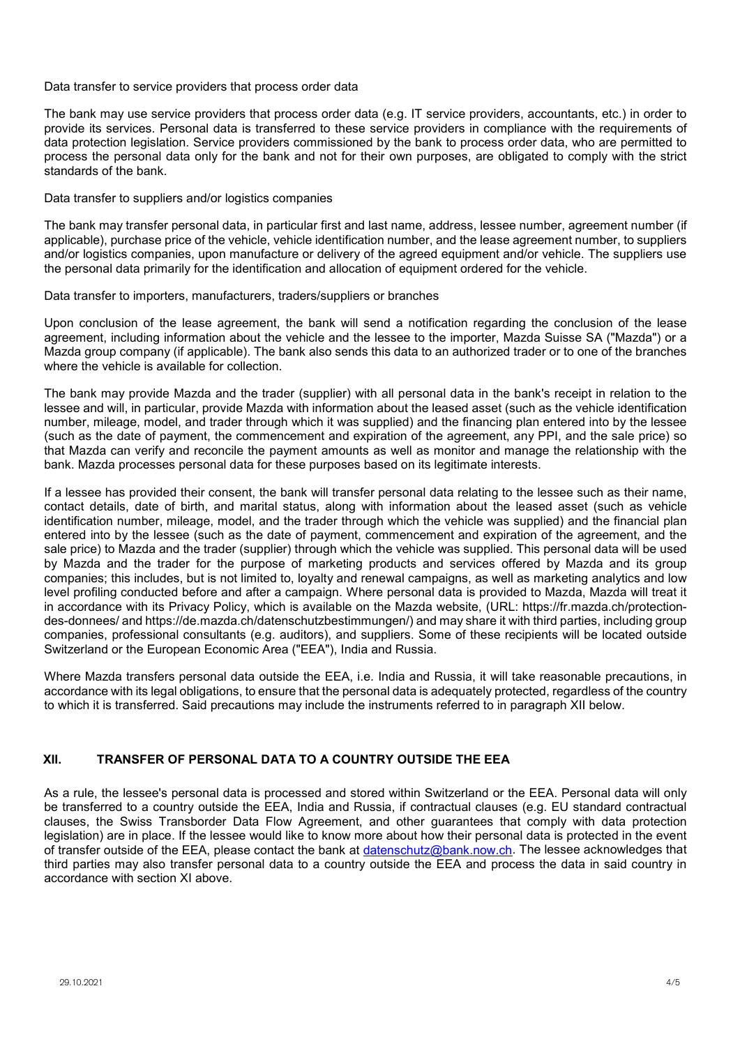#### Data transfer to service providers that process order data

The bank may use service providers that process order data (e.g. IT service providers, accountants, etc.) in order to provide its services. Personal data is transferred to these service providers in compliance with the requirements of data protection legislation. Service providers commissioned by the bank to process order data, who are permitted to process the personal data only for the bank and not for their own purposes, are obligated to comply with the strict standards of the bank.

Data transfer to suppliers and/or logistics companies

The bank may transfer personal data, in particular first and last name, address, lessee number, agreement number (if applicable), purchase price of the vehicle, vehicle identification number, and the lease agreement number, to suppliers and/or logistics companies, upon manufacture or delivery of the agreed equipment and/or vehicle. The suppliers use the personal data primarily for the identification and allocation of equipment ordered for the vehicle.

Data transfer to importers, manufacturers, traders/suppliers or branches

Upon conclusion of the lease agreement, the bank will send a notification regarding the conclusion of the lease agreement, including information about the vehicle and the lessee to the importer, Mazda Suisse SA ("Mazda") or a Mazda group company (if applicable). The bank also sends this data to an authorized trader or to one of the branches where the vehicle is available for collection.

The bank may provide Mazda and the trader (supplier) with all personal data in the bank's receipt in relation to the lessee and will, in particular, provide Mazda with information about the leased asset (such as the vehicle identification number, mileage, model, and trader through which it was supplied) and the financing plan entered into by the lessee (such as the date of payment, the commencement and expiration of the agreement, any PPI, and the sale price) so that Mazda can verify and reconcile the payment amounts as well as monitor and manage the relationship with the bank. Mazda processes personal data for these purposes based on its legitimate interests.

If a lessee has provided their consent, the bank will transfer personal data relating to the lessee such as their name, contact details, date of birth, and marital status, along with information about the leased asset (such as vehicle identification number, mileage, model, and the trader through which the vehicle was supplied) and the financial plan entered into by the lessee (such as the date of payment, commencement and expiration of the agreement, and the sale price) to Mazda and the trader (supplier) through which the vehicle was supplied. This personal data will be used by Mazda and the trader for the purpose of marketing products and services offered by Mazda and its group companies; this includes, but is not limited to, loyalty and renewal campaigns, as well as marketing analytics and low level profiling conducted before and after a campaign. Where personal data is provided to Mazda, Mazda will treat it in accordance with its Privacy Policy, which is available on the Mazda website, (URL: https://fr.mazda.ch/protectiondes-donnees/ and https://de.mazda.ch/datenschutzbestimmungen/) and may share it with third parties, including group companies, professional consultants (e.g. auditors), and suppliers. Some of these recipients will be located outside Switzerland or the European Economic Area ("EEA"), India and Russia.

Where Mazda transfers personal data outside the EEA, i.e. India and Russia, it will take reasonable precautions, in accordance with its legal obligations, to ensure that the personal data is adequately protected, regardless of the country to which it is transferred. Said precautions may include the instruments referred to in paragraph XII below.

# **XII. TRANSFER OF PERSONAL DATA TO A COUNTRY OUTSIDE THE EEA**

As a rule, the lessee's personal data is processed and stored within Switzerland or the EEA. Personal data will only be transferred to a country outside the EEA, India and Russia, if contractual clauses (e.g. EU standard contractual clauses, the Swiss Transborder Data Flow Agreement, and other guarantees that comply with data protection legislation) are in place. If the lessee would like to know more about how their personal data is protected in the event of transfer outside of the EEA, please contact the bank at [datenschutz@bank.now.ch.](mailto:datenschutz@bank-now.ch) The lessee acknowledges that third parties may also transfer personal data to a country outside the EEA and process the data in said country in accordance with section XI above.